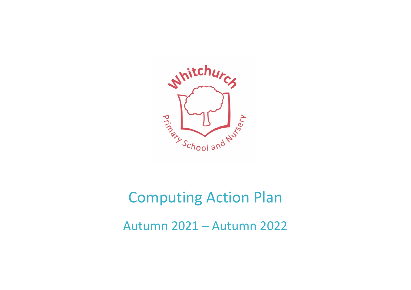

# Computing Action Plan Autumn 2021 – Autumn 2022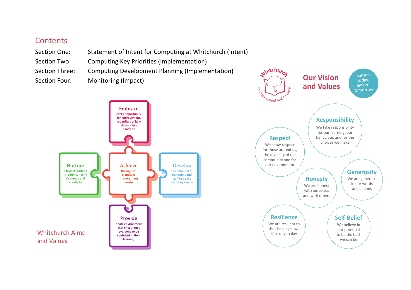## **Contents**

- Section One: Statement of Intent for Computing at Whitchurch (Intent)
- Section Two: Computing Key Priorities (Implementation)
- Section Three: Computing Development Planning (Implementation)
	- $\mu$ intornig (mipact)



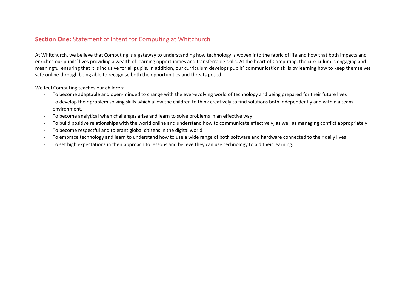#### **Section One:** Statement of Intent for Computing at Whitchurch

At Whitchurch, we believe that Computing is a gateway to understanding how technology is woven into the fabric of life and how that both impacts and enriches our pupils' lives providing a wealth of learning opportunities and transferrable skills. At the heart of Computing, the curriculum is engaging and meaningful ensuring that it is inclusive for all pupils. In addition, our curriculum develops pupils' communication skills by learning how to keep themselves safe online through being able to recognise both the opportunities and threats posed.

We feel Computing teaches our children:

- To become adaptable and open-minded to change with the ever-evolving world of technology and being prepared for their future lives
- To develop their problem solving skills which allow the children to think creatively to find solutions both independently and within a team environment.
- To become analytical when challenges arise and learn to solve problems in an effective way
- To build positive relationships with the world online and understand how to communicate effectively, as well as managing conflict appropriately
- To become respectful and tolerant global citizens in the digital world
- To embrace technology and learn to understand how to use a wide range of both software and hardware connected to their daily lives
- To set high expectations in their approach to lessons and believe they can use technology to aid their learning.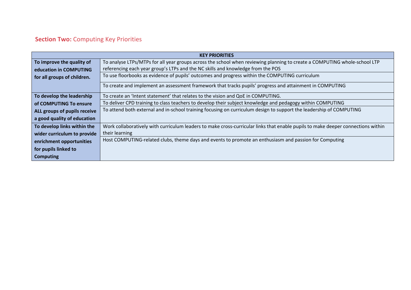# **Section Two:** Computing Key Priorities

|                                                                                                                               | <b>KEY PRIORITIES</b>                                                                                                            |  |  |  |  |
|-------------------------------------------------------------------------------------------------------------------------------|----------------------------------------------------------------------------------------------------------------------------------|--|--|--|--|
| To improve the quality of                                                                                                     | To analyse LTPs/MTPs for all year groups across the school when reviewing planning to create a COMPUTING whole-school LTP        |  |  |  |  |
| education in COMPUTING                                                                                                        | referencing each year group's LTPs and the NC skills and knowledge from the POS                                                  |  |  |  |  |
| To use floorbooks as evidence of pupils' outcomes and progress within the COMPUTING curriculum<br>for all groups of children. |                                                                                                                                  |  |  |  |  |
|                                                                                                                               | To create and implement an assessment framework that tracks pupils' progress and attainment in COMPUTING                         |  |  |  |  |
| To develop the leadership                                                                                                     | To create an 'Intent statement' that relates to the vision and QoE in COMPUTING.                                                 |  |  |  |  |
| of COMPUTING To ensure                                                                                                        | To deliver CPD training to class teachers to develop their subject knowledge and pedagogy within COMPUTING                       |  |  |  |  |
| ALL groups of pupils receive                                                                                                  | To attend both external and in-school training focusing on curriculum design to support the leadership of COMPUTING              |  |  |  |  |
| a good quality of education                                                                                                   |                                                                                                                                  |  |  |  |  |
| To develop links within the                                                                                                   | Work collaboratively with curriculum leaders to make cross-curricular links that enable pupils to make deeper connections within |  |  |  |  |
| wider curriculum to provide                                                                                                   | their learning                                                                                                                   |  |  |  |  |
| enrichment opportunities                                                                                                      | Host COMPUTING-related clubs, theme days and events to promote an enthusiasm and passion for Computing                           |  |  |  |  |
| for pupils linked to                                                                                                          |                                                                                                                                  |  |  |  |  |
| <b>Computing</b>                                                                                                              |                                                                                                                                  |  |  |  |  |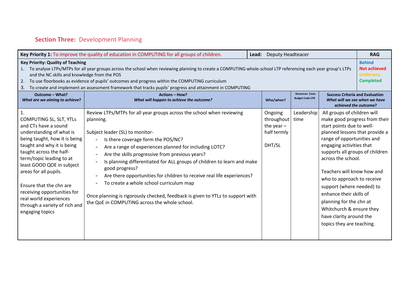# **Section Three:** Development Planning

| Key Priority 1: To improve the quality of education in COMPUTING for all groups of children.<br><b>Deputy Headteacer</b><br>Lead:                                                                                                                                                                                                                                                                                                                                               |                                                                                                                                                                                                                                                                                                                                                                                                                                                                                                                                                                                                                                                           |                                                                |                                                  |                                                                                                                                                                                                                                                                                                                                                                                                                                                                                   |                                                                             |
|---------------------------------------------------------------------------------------------------------------------------------------------------------------------------------------------------------------------------------------------------------------------------------------------------------------------------------------------------------------------------------------------------------------------------------------------------------------------------------|-----------------------------------------------------------------------------------------------------------------------------------------------------------------------------------------------------------------------------------------------------------------------------------------------------------------------------------------------------------------------------------------------------------------------------------------------------------------------------------------------------------------------------------------------------------------------------------------------------------------------------------------------------------|----------------------------------------------------------------|--------------------------------------------------|-----------------------------------------------------------------------------------------------------------------------------------------------------------------------------------------------------------------------------------------------------------------------------------------------------------------------------------------------------------------------------------------------------------------------------------------------------------------------------------|-----------------------------------------------------------------------------|
| <b>Key Priority: Quality of Teaching</b><br>1. To analyse LTPs/MTPs for all year groups across the school when reviewing planning to create a COMPUTING whole-school LTP referencing each year group's LTPs<br>and the NC skills and knowledge from the POS<br>2. To use floorbooks as evidence of pupils' outcomes and progress within the COMPUTING curriculum<br>3. To create and implement an assessment framework that tracks pupils' progress and attainment in COMPUTING |                                                                                                                                                                                                                                                                                                                                                                                                                                                                                                                                                                                                                                                           |                                                                |                                                  |                                                                                                                                                                                                                                                                                                                                                                                                                                                                                   | <b>Behind</b><br><b>Not achieved</b><br><b>Underway</b><br><b>Completed</b> |
| Outcome - What?<br>What are we aiming to achieve?                                                                                                                                                                                                                                                                                                                                                                                                                               | <b>Actions - How?</b><br>What will happen to achieve the outcome?                                                                                                                                                                                                                                                                                                                                                                                                                                                                                                                                                                                         | Who/when?                                                      | <b>Resources Costs</b><br><b>Budget Code CFR</b> | <b>Success Criteria and Evaluation</b><br>What will we see when we have<br>achieved the outcome?                                                                                                                                                                                                                                                                                                                                                                                  |                                                                             |
| $\mathbf{1}$<br>COMPUTING SL, SLT, YTLs<br>and CTs have a sound<br>understanding of what is<br>being taught, how it is being<br>taught and why it is being<br>taught across the half-<br>term/topic leading to at<br>least GOOD QOE in subject<br>areas for all pupils.<br>Ensure that the chn are<br>receiving opportunities for<br>real world experiences<br>through a variety of rich and<br>engaging topics                                                                 | Review LTPs/MTPs for all year groups across the school when reviewing<br>planning.<br>Subject leader (SL) to monitor-<br>Is there coverage form the POS/NC?<br>Are a range of experiences planned for including LOTC?<br>$\overline{\phantom{a}}$<br>Are the skills progressive from previous years?<br>Is planning differentiated for ALL groups of children to learn and make<br>good progress?<br>Are there opportunities for children to receive real life experiences?<br>To create a whole school curriculum map<br>Once planning is rigorously checked, feedback is given to YTLs to support with<br>the QoE in COMPUTING across the whole school. | Ongoing<br>throughout<br>the year $-$<br>half termly<br>DHT/SL | Leadership<br>time                               | All groups of children will<br>make good progress from their<br>start points due to well-<br>planned lessons that provide a<br>range of opportunities and<br>engaging activities that<br>supports all groups of children<br>across the school.<br>Teachers will know how and<br>who to approach to receive<br>support (where needed) to<br>enhance their skills of<br>planning for the chn at<br>Whitchurch & ensure they<br>have clarity around the<br>topics they are teaching. |                                                                             |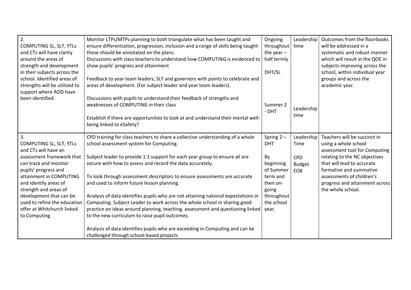| $\overline{2}$ .<br>COMPUTING SL, SLT, YTLs<br>and CTs will have clarity<br>around the areas of<br>strength and development<br>in their subjects across the<br>school. Identified areas of<br>strengths will be utilised to<br>support where AOD have<br>been identified.                | Monitor LTPs/MTPs planning to both triangulate what has been taught and<br>ensure differentiation, progression, inclusion and a range of skills being taught-<br>these should be annotated on the plans.<br>Discussions with class teachers to understand how COMPUTING is evidenced to<br>show pupils' progress and attainment<br>Feedback to year team leaders, SLT and governors with points to celebrate and<br>areas of development. (For subject leader and year team leaders).<br>Discussions with pupils to understand their feedback of strengths and<br>weaknesses of COMPUTING in their class<br>Establish if there are opportunities to look at and understand their mental well-<br>being linked to eSafety? | Ongoing<br>throughout<br>the year $-$<br>half termly<br>DHT/SL<br>Summer 2<br>- DHT                | Leadership<br>time<br>Leadership<br>time       | Outcomes from the floorbooks<br>will be addressed in a<br>systematic and robust manner<br>which will result in the QOE in<br>subjects improving across the<br>school, within individual year<br>groups and across the<br>academic year. |
|------------------------------------------------------------------------------------------------------------------------------------------------------------------------------------------------------------------------------------------------------------------------------------------|---------------------------------------------------------------------------------------------------------------------------------------------------------------------------------------------------------------------------------------------------------------------------------------------------------------------------------------------------------------------------------------------------------------------------------------------------------------------------------------------------------------------------------------------------------------------------------------------------------------------------------------------------------------------------------------------------------------------------|----------------------------------------------------------------------------------------------------|------------------------------------------------|-----------------------------------------------------------------------------------------------------------------------------------------------------------------------------------------------------------------------------------------|
| 3.<br>COMPUTING SL, SLT, YTLs                                                                                                                                                                                                                                                            | CPD training for class teachers to share a collective understanding of a whole<br>school assessment system for Computing.                                                                                                                                                                                                                                                                                                                                                                                                                                                                                                                                                                                                 | Spring $2 -$<br><b>DHT</b>                                                                         | Leadership<br>Time                             | Teachers will be succinct in<br>using a whole school                                                                                                                                                                                    |
| and CTs will have an<br>assessment framework that<br>can track and monitor<br>pupils' progress and<br>attainment in COMPUTING<br>and identify areas of<br>strength and areas of<br>development that can be<br>used to refine the education<br>offer at Whitchurch linked<br>to Computing | Subject leader to provide 1:1 support for each year group to ensure all are<br>secure with how to assess and record the data accurately.<br>To look through assessment descriptors to ensure assessments are accurate<br>and used to inform future lesson planning.<br>Analysis of data identifies pupils who are not attaining national expectations in<br>Computing. Subject Leader to work across the whole school in sharing good<br>practice on ideas around planning, teaching, assessment and questioning linked<br>to the new curriculum to raise pupil outcomes.                                                                                                                                                 | By<br>beginning<br>of Summer<br>term and<br>then on-<br>going<br>throughout<br>the school<br>year. | <b>CPD</b><br><b>Budget</b><br>EO <sub>8</sub> | assessment tool for Computing<br>relating to the NC objectives<br>that will lead to accurate<br>formative and summative<br>assessments of children's<br>progress and attainment across<br>the whole school.                             |
|                                                                                                                                                                                                                                                                                          | Analysis of data identifies pupils who are exceeding in Computing and can be<br>challenged through school-based projects                                                                                                                                                                                                                                                                                                                                                                                                                                                                                                                                                                                                  |                                                                                                    |                                                |                                                                                                                                                                                                                                         |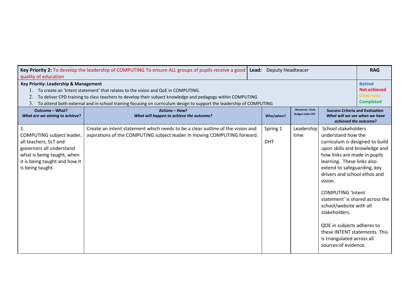| quality of education                                                                                                                                                                                                                                                                                                                                                    | Key Priority 2: To develop the leadership of COMPUTING To ensure ALL groups of pupils receive a good   Lead:                                               | <b>Deputy Headteacer</b> |                                                  |                                                                                                                                                                                                                                                                                                                                                                                                                                                                                       | <b>RAG</b>                                                                  |
|-------------------------------------------------------------------------------------------------------------------------------------------------------------------------------------------------------------------------------------------------------------------------------------------------------------------------------------------------------------------------|------------------------------------------------------------------------------------------------------------------------------------------------------------|--------------------------|--------------------------------------------------|---------------------------------------------------------------------------------------------------------------------------------------------------------------------------------------------------------------------------------------------------------------------------------------------------------------------------------------------------------------------------------------------------------------------------------------------------------------------------------------|-----------------------------------------------------------------------------|
| Key Priority: Leadership & Management<br>1. To create an 'Intent statement' that relates to the vision and QoE in COMPUTING.<br>To deliver CPD training to class teachers to develop their subject knowledge and pedagogy within COMPUTING<br>2.<br>To attend both external and in-school training focusing on curriculum design to support the leadership of COMPUTING |                                                                                                                                                            |                          |                                                  |                                                                                                                                                                                                                                                                                                                                                                                                                                                                                       | <b>Behind</b><br><b>Not achieved</b><br><b>Underway</b><br><b>Completed</b> |
| Outcome - What?<br>What are we aiming to achieve?                                                                                                                                                                                                                                                                                                                       | <b>Actions - How?</b><br>What will happen to achieve the outcome?                                                                                          | Who/when?                | <b>Resources Costs</b><br><b>Budget Code CFR</b> | <b>Success Criteria and Evaluation</b><br>What will we see when we have<br>achieved the outcome?                                                                                                                                                                                                                                                                                                                                                                                      |                                                                             |
| $\overline{1}$ .<br>COMPUTING subject leader,<br>all teachers, SLT and<br>governors all understand<br>what is being taught, when<br>it is being taught and how it<br>is being taught.                                                                                                                                                                                   | Create an intent statement which needs to be a clear outline of the vision and<br>aspirations of the COMPUTING subject leader in moving COMPUTING forward. | Spring 1<br><b>DHT</b>   | Leadership<br>time                               | School stakeholders<br>understand how the<br>curriculum is designed to build<br>upon skills and knowledge and<br>how links are made in pupils<br>learning. These links also<br>extend to safeguarding, key<br>drivers and school ethos and<br>vision.<br><b>COMPUTING 'Intent</b><br>statement' is shared across the<br>school/website with all<br>stakeholders.<br>QOE in subjects adheres to<br>these INTENT statements. This<br>is triangulated across all<br>sources of evidence. |                                                                             |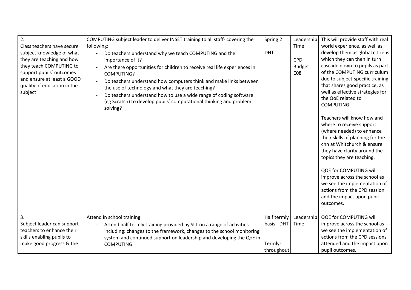| $\overline{2}$ .<br>Class teachers have secure<br>subject knowledge of what<br>they are teaching and how<br>they teach COMPUTING to<br>support pupils' outcomes<br>and ensure at least a GOOD<br>quality of education in the<br>subject | COMPUTING subject leader to deliver INSET training to all staff- covering the<br>following:<br>Do teachers understand why we teach COMPUTING and the<br>importance of it?<br>Are there opportunities for children to receive real life experiences in<br>COMPUTING?<br>Do teachers understand how computers think and make links between<br>the use of technology and what they are teaching?<br>Do teachers understand how to use a wide range of coding software<br>(eg Scratch) to develop pupils' computational thinking and problem<br>solving? | Spring 2<br><b>DHT</b>                              | Leadership<br>Time<br><b>CPD</b><br><b>Budget</b><br><b>E08</b> | This will provide staff with real<br>world experience, as well as<br>develop them as global citizens<br>which they can then in turn<br>cascade down to pupils as part<br>of the COMPUTING curriculum<br>due to subject-specific training<br>that shares good practice, as<br>well as effective strategies for<br>the QoE related to<br><b>COMPUTING</b><br>Teachers will know how and<br>where to receive support<br>(where needed) to enhance<br>their skills of planning for the<br>chn at Whitchurch & ensure<br>they have clarity around the<br>topics they are teaching.<br>QOE for COMPUTING will<br>improve across the school as<br>we see the implementation of<br>actions from the CPD session<br>and the impact upon pupil<br>outcomes. |
|-----------------------------------------------------------------------------------------------------------------------------------------------------------------------------------------------------------------------------------------|------------------------------------------------------------------------------------------------------------------------------------------------------------------------------------------------------------------------------------------------------------------------------------------------------------------------------------------------------------------------------------------------------------------------------------------------------------------------------------------------------------------------------------------------------|-----------------------------------------------------|-----------------------------------------------------------------|---------------------------------------------------------------------------------------------------------------------------------------------------------------------------------------------------------------------------------------------------------------------------------------------------------------------------------------------------------------------------------------------------------------------------------------------------------------------------------------------------------------------------------------------------------------------------------------------------------------------------------------------------------------------------------------------------------------------------------------------------|
| 3.<br>Subject leader can support<br>teachers to enhance their<br>skills enabling pupils to<br>make good progress & the                                                                                                                  | Attend in school training<br>Attend half termly training provided by SLT on a range of activities<br>including: changes to the framework, changes to the school monitoring<br>system and continued support on leadership and developing the QoE in<br>COMPUTING.                                                                                                                                                                                                                                                                                     | Half termly<br>basis - DHT<br>Termly-<br>throughout | Leadership<br>Time                                              | QOE for COMPUTING will<br>improve across the school as<br>we see the implementation of<br>actions from the CPD sessions<br>attended and the impact upon<br>pupil outcomes.                                                                                                                                                                                                                                                                                                                                                                                                                                                                                                                                                                        |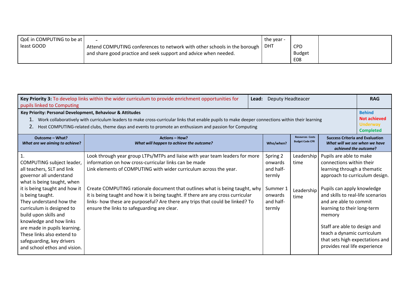| QoE in COMPUTING to be at |                                                                           | the year - |               |  |
|---------------------------|---------------------------------------------------------------------------|------------|---------------|--|
| least GOOD                | Attend COMPUTING conferences to network with other schools in the borough | DHT        | <b>CPD</b>    |  |
|                           | and share good practice and seek support and advice when needed.          |            | <b>Budget</b> |  |
|                           |                                                                           |            | <b>E08</b>    |  |

| Key Priority 3: To develop links within the wider curriculum to provide enrichment opportunities for<br><b>Deputy Headteacer</b><br>Lead:<br>pupils linked to Computing                                                                                                                                                                                                                                                      |                                                                                                                                                                                                                                                                                                                                                                                                                                                                                                               |                                                                                          |                                          |                                                                                                                                                                                                                                                                                                                                                                                              |                                                                             |
|------------------------------------------------------------------------------------------------------------------------------------------------------------------------------------------------------------------------------------------------------------------------------------------------------------------------------------------------------------------------------------------------------------------------------|---------------------------------------------------------------------------------------------------------------------------------------------------------------------------------------------------------------------------------------------------------------------------------------------------------------------------------------------------------------------------------------------------------------------------------------------------------------------------------------------------------------|------------------------------------------------------------------------------------------|------------------------------------------|----------------------------------------------------------------------------------------------------------------------------------------------------------------------------------------------------------------------------------------------------------------------------------------------------------------------------------------------------------------------------------------------|-----------------------------------------------------------------------------|
| Key Priority: Personal Development, Behaviour & Attitudes<br>1. Work collaboratively with curriculum leaders to make cross-curricular links that enable pupils to make deeper connections within their learning<br>Host COMPUTING-related clubs, theme days and events to promote an enthusiasm and passion for Computing                                                                                                    |                                                                                                                                                                                                                                                                                                                                                                                                                                                                                                               |                                                                                          |                                          |                                                                                                                                                                                                                                                                                                                                                                                              | <b>Behind</b><br><b>Not achieved</b><br><b>Underway</b><br><b>Completed</b> |
| <b>Resources Costs</b><br>Outcome - What?<br><b>Actions - How?</b><br><b>Budget Code CFR</b><br>What are we aiming to achieve?<br>What will happen to achieve the outcome?<br>Who/when?                                                                                                                                                                                                                                      |                                                                                                                                                                                                                                                                                                                                                                                                                                                                                                               |                                                                                          |                                          | <b>Success Criteria and Evaluation</b><br>What will we see when we have<br>achieved the outcome?                                                                                                                                                                                                                                                                                             |                                                                             |
| $\mathbf{1}$<br>COMPUTING subject leader,<br>all teachers, SLT and link<br>governor all understand<br>what is being taught, when<br>it is being taught and how it<br>is being taught.<br>They understand how the<br>curriculum is designed to<br>build upon skills and<br>knowledge and how links<br>are made in pupils learning.<br>These links also extend to<br>safeguarding, key drivers<br>and school ethos and vision. | Look through year group LTPs/MTPs and liaise with year team leaders for more<br>information on how cross-curricular links can be made<br>Link elements of COMPUTING with wider curriculum across the year.<br>Create COMPUTING rationale document that outlines what is being taught, why<br>it is being taught and how it is being taught. If there are any cross curricular<br>links- how these are purposeful? Are there any trips that could be linked? To<br>ensure the links to safeguarding are clear. | Spring 2<br>onwards<br>and half-<br>termly<br>Summer 1<br>onwards<br>and half-<br>termly | Leadership<br>time<br>Leadership<br>time | Pupils are able to make<br>connections within their<br>learning through a thematic<br>approach to curriculum design.<br>Pupils can apply knowledge<br>and skills to real-life scenarios<br>and are able to commit<br>learning to their long-term<br>memory<br>Staff are able to design and<br>teach a dynamic curriculum<br>that sets high expectations and<br>provides real life experience |                                                                             |